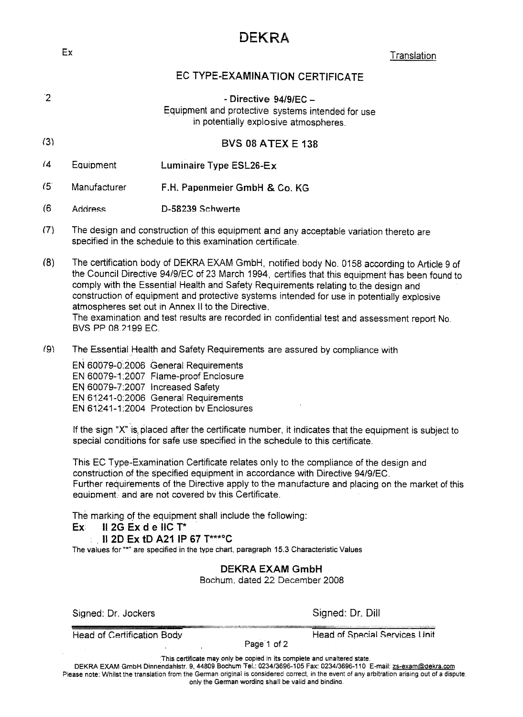# DEKRA

external control of the control of the control of the control of the control of the control of the control of the control of the control of the control of the control of the control of the control of the control of the con

# EC TYPE-EXAMINA TION CERTIFICATE

- $\overline{2}$  Directive 94/9/EC -Equipment and protective systems intended tor use in potentially explosive atmospheres. (3) BVS 08 ATEX E 138 (4 Equipment Luminaire Type ESL26-Ex (5'. Manufacturer F .H. Papenmeier GmbH & Co. KG (6 Address 0-58239 Schwerte (7) The design and construction of this equipment and any acceptable variation thereto are specified in the schedule to this examination certificate.
- (8) The certification body of DEKRA EXAM GmbH, notified body No.0158 according to Article 9 of the Council Directive 94/9/EC of 23 March 1994, certifies that this equipment has been found to comply with the Essential Health and Safety Requirements relating to the design and construction of equipment and protective systems intended for use in potentially explosive atmospheres set out in Annex II to the Directive.

The examination and test results are recorded in confidential test and assessment report No. BVS pp 08.2199 EC.

(9) The Essential Health and Safety Requirement5 are assured by compliance with

EN 60079-0:2006 General Requiremer EN 60079-1:2007 Flame-proof Enclosure EN 60079-7:2007 Increased Safety EN 61241-0:2006 General Requirements EN 61241-1:2004 Protection by Enclosures

If the sign "X" is placed after the certificate number, it indicates that the equipment is subject to special conditions for safe use specified in the schedule to this certificate.

This EC Type-Examination Certificate relates only to the compliance of the design and construction of the specified equipment in accordance with Directive 94/9/EC. Further requirements of the Directive apply to the manufacture and placing on the market of this equipment, and are not covered by this Certificate.

The marking of the equipment shall include the following:

#### $Ex$  II 2G Ex d e IIC T\*

#### .II 2D Ex tD A21 IP 67 T\*\*\*oC

The values for "\*" are specified in the type chart, paragraph 15.3 Characteristic Values

### DEKRA EXAM GmbH

Bochum. dated 22 December 2008

Signed: Dr. Jockers Signed: Dr. Dill

Head of Certification Body... The Head of Special Services Unit

Page 1 of 2

This certificate mayonly be copied in its complete and unaltered state

DEKRA EXAM GmbH Dinnendahlstr. 9, 44809 Bochum Tel.: 0234/3696-105 Fax: 0234/3696-110 E-mail: zs-exam@dekra.com Please note: Whilst the translation from the German original is considered correct, in the event of any arbitration arising out of a dispute only the German wording shall be valid and bindino.